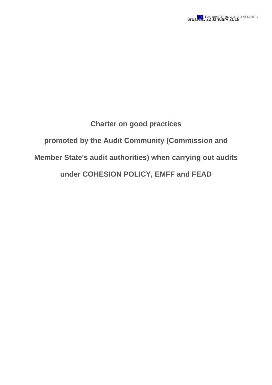## **Charter on good practices promoted by the Audit Community (Commission and Member State's audit authorities) when carrying out audits under COHESION POLICY, EMFF and FEAD**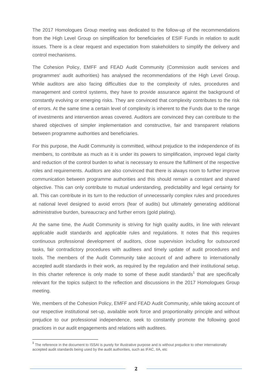The 2017 Homologues Group meeting was dedicated to the follow-up of the recommendations from the High Level Group on simplification for beneficiaries of ESIF Funds in relation to audit issues. There is a clear request and expectation from stakeholders to simplify the delivery and control mechanisms.

The Cohesion Policy, EMFF and FEAD Audit Community (Commission audit services and programmes' audit authorities) has analysed the recommendations of the High Level Group. While auditors are also facing difficulties due to the complexity of rules, procedures and management and control systems, they have to provide assurance against the background of constantly evolving or emerging risks. They are convinced that complexity contributes to the risk of errors. At the same time a certain level of complexity is inherent to the Funds due to the range of investments and intervention areas covered. Auditors are convinced they can contribute to the shared objectives of simpler implementation and constructive, fair and transparent relations between programme authorities and beneficiaries.

For this purpose, the Audit Community is committed, without prejudice to the independence of its members, to contribute as much as it is under its powers to simplification, improved legal clarity and reduction of the control burden to what is necessary to ensure the fulfilment of the respective roles and requirements. Auditors are also convinced that there is always room to further improve communication between programme authorities and this should remain a constant and shared objective. This can only contribute to mutual understanding, predictability and legal certainty for all. This can contribute in its turn to the reduction of unnecessarily complex rules and procedures at national level designed to avoid errors (fear of audits) but ultimately generating additional administrative burden, bureaucracy and further errors (gold plating).

At the same time, the Audit Community is striving for high quality audits, in line with relevant applicable audit standards and applicable rules and regulations. It notes that this requires continuous professional development of auditors, close supervision including for outsourced tasks, fair contradictory procedures with auditees and timely update of audit procedures and tools. The members of the Audit Community take account of and adhere to internationally accepted audit standards in their work, as required by the regulation and their institutional setup. In this charter reference is only made to some of these audit standards<sup>1</sup> that are specifically relevant for the topics subject to the reflection and discussions in the 2017 Homologues Group meeting.

We, members of the Cohesion Policy, EMFF and FEAD Audit Community, while taking account of our respective institutional set-up, available work force and proportionality principle and without prejudice to our professional independence, seek to constantly promote the following good practices in our audit engagements and relations with auditees.

**.** 

<sup>&</sup>lt;sup>1</sup> The reference in the document to ISSAI is purely for illustrative purpose and is without prejudice to other internationally accepted audit standards being used by the audit authorities, such as IFAC, IIA, etc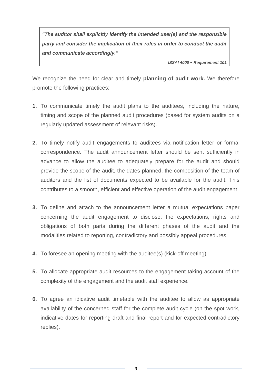*"The auditor shall explicitly identify the intended user(s) and the responsible party and consider the implication of their roles in order to conduct the audit and communicate accordingly."* 

*ISSAI 4000 - Requirement 101* 

We recognize the need for clear and timely **planning of audit work.** We therefore promote the following practices:

- **1.** To communicate timely the audit plans to the auditees, including the nature, timing and scope of the planned audit procedures (based for system audits on a regularly updated assessment of relevant risks).
- **2.** To timely notify audit engagements to auditees via notification letter or formal correspondence. The audit announcement letter should be sent sufficiently in advance to allow the auditee to adequately prepare for the audit and should provide the scope of the audit, the dates planned, the composition of the team of auditors and the list of documents expected to be available for the audit. This contributes to a smooth, efficient and effective operation of the audit engagement.
- **3.** To define and attach to the announcement letter a mutual expectations paper concerning the audit engagement to disclose: the expectations, rights and obligations of both parts during the different phases of the audit and the modalities related to reporting, contradictory and possibly appeal procedures.
- **4.** To foresee an opening meeting with the auditee(s) (kick-off meeting).
- **5.** To allocate appropriate audit resources to the engagement taking account of the complexity of the engagement and the audit staff experience.
- **6.** To agree an idicative audit timetable with the auditee to allow as appropriate availability of the concerned staff for the complete audit cycle (on the spot work, indicative dates for reporting draft and final report and for expected contradictory replies).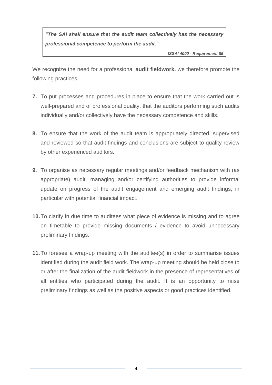*"The SAI shall ensure that the audit team collectively has the necessary professional competence to perform the audit."*

*ISSAI 4000 - Requirement 85* 

We recognize the need for a professional **audit fieldwork.** we therefore promote the following practices:

- **7.** To put processes and procedures in place to ensure that the work carried out is well-prepared and of professional quality, that the auditors performing such audits individually and/or collectively have the necessary competence and skills.
- **8.** To ensure that the work of the audit team is appropriately directed, supervised and reviewed so that audit findings and conclusions are subject to quality review by other experienced auditors.
- **9.** To organise as necessary regular meetings and/or feedback mechanism with (as appropriate) audit, managing and/or certifying authorities to provide informal update on progress of the audit engagement and emerging audit findings, in particular with potential financial impact.
- **10.**To clarify in due time to auditees what piece of evidence is missing and to agree on timetable to provide missing documents / evidence to avoid unnecessary preliminary findings.
- **11.**To foresee a wrap-up meeting with the auditee(s) in order to summarise issues identified during the audit field work. The wrap-up meeting should be held close to or after the finalization of the audit fieldwork in the presence of representatives of all entities who participated during the audit. It is an opportunity to raise preliminary findings as well as the positive aspects or good practices identified.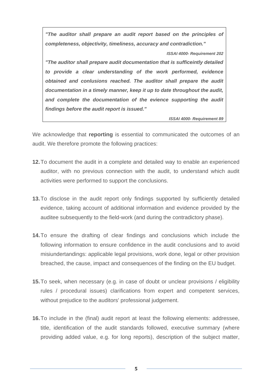*"The auditor shall prepare an audit report based on the principles of completeness, objectivity, timeliness, accuracy and contradiction." ISSAI 4000- Requirement 202 "The auditor shall prepare audit documentation that is sufficeintly detailed to provide a clear understanding of the work performed, evidence obtained and conlusions reached. The auditor shall prepare the audit documentation in a timely manner, keep it up to date throughout the audit, and complete the documentation of the evience supporting the audit findings before the audit report is issued."*

*ISSAI 4000- Requirement 89*

We acknowledge that **reporting** is essential to communicated the outcomes of an audit. We therefore promote the following practices:

- **12.**To document the audit in a complete and detailed way to enable an experienced auditor, with no previous connection with the audit, to understand which audit activities were performed to support the conclusions.
- **13.**To disclose in the audit report only findings supported by sufficiently detailed evidence, taking account of additional information and evidence provided by the auditee subsequently to the field-work (and during the contradictory phase).
- **14.**To ensure the drafting of clear findings and conclusions which include the following information to ensure confidence in the audit conclusions and to avoid misiundertandings: applicable legal provisions, work done, legal or other provision breached, the cause, impact and consequences of the finding on the EU budget.
- **15.**To seek, when necessary (e.g. in case of doubt or unclear provisions / eligibility rules / procedural issues) clarifications from expert and competent services, without prejudice to the auditors' professional judgement.
- **16.**To include in the (final) audit report at least the following elements: addressee, title, identification of the audit standards followed, executive summary (where providing added value, e.g. for long reports), description of the subject matter,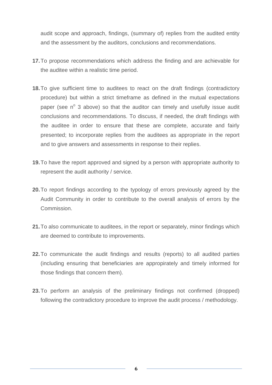audit scope and approach, findings, (summary of) replies from the audited entity and the assessment by the auditors, conclusions and recommendations.

- **17.**To propose recommendations which address the finding and are achievable for the auditee within a realistic time period.
- **18.**To give sufficient time to auditees to react on the draft findings (contradictory procedure) but within a strict timeframe as defined in the mutual expectations paper (see n<sup>o</sup> 3 above) so that the auditor can timely and usefully issue audit conclusions and recommendations. To discuss, if needed, the draft findings with the auditee in order to ensure that these are complete, accurate and fairly presented; to incorporate replies from the auditees as appropriate in the report and to give answers and assessments in response to their replies.
- **19.**To have the report approved and signed by a person with appropriate authority to represent the audit authority / service.
- **20.**To report findings according to the typology of errors previously agreed by the Audit Community in order to contribute to the overall analysis of errors by the Commission.
- **21.**To also communicate to auditees, in the report or separately, minor findings which are deemed to contribute to improvements.
- **22.**To communicate the audit findings and results (reports) to all audited parties (including ensuring that beneficiaries are appropirately and timely informed for those findings that concern them).
- **23.**To perform an analysis of the preliminary findings not confirmed (dropped) following the contradictory procedure to improve the audit process / methodology.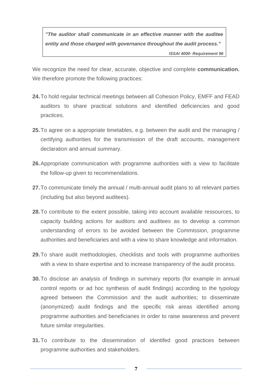*"The auditor shall communicate in an effective manner with the auditee entity and those charged with governance throughout the audit process." ISSAI 4000- Requirement 96*

We recognize the need for clear, accurate, objective and complete **communication.**  We therefore promote the following practices:

- **24.**To hold regular technical meetings between all Cohesion Policy, EMFF and FEAD auditors to share practical solutions and identified deficiencies and good practices.
- **25.**To agree on a appropriate timetables, e.g. between the audit and the managing / certifying authorities for the transmission of the draft accounts, management declaration and annual summary.
- **26.**Appropriate communication with programme authorities with a view to facilitate the follow-up given to recommendations.
- **27.**To communicate timely the annual / multi-annual audit plans to all relevant parties (including but also beyond auditees).
- **28.**To contribute to the extent possible, taking into account available ressources, to capacity building actions for auditors and auditees as to develop a common understanding of errors to be avoided between the Commission, programme authorities and beneficiaries and with a view to share knowledge and information.
- **29.**To share audit methodologies, checklists and tools with programme authorities with a view to share expertise and to increase transparency of the audit process.
- **30.**To disclose an analysis of findings in summary reports (for example in annual control reports or ad hoc synthesis of audit findings) according to the typology agreed between the Commission and the audit authorities; to disseminate (anonymized) audit findings and the specific risk areas identified among programme authorities and beneficiaries in order to raise awareness and prevent future similar irregularities.
- **31.**To contribute to the dissemination of identifed good practices between programme authorities and stakeholders.